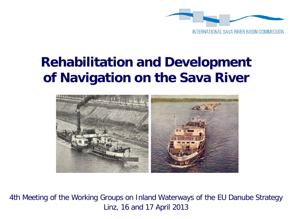

# **Rehabilitation and Development of Navigation on the Sava River**



4th Meeting of the Working Groups on Inland Waterways of the EU Danube Strategy Linz, 16 and 17 April 2013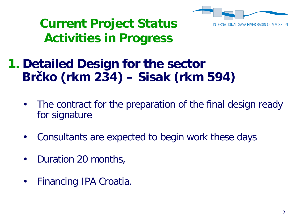

### **Current Project Status Activities in Progress**

#### **1. Detailed Design for the sector Brčko (rkm 234) – Sisak (rkm 594)**

- The contract for the preparation of the final design ready for signature
- Consultants are expected to begin work these days
- Duration 20 months,
- Financing IPA Croatia.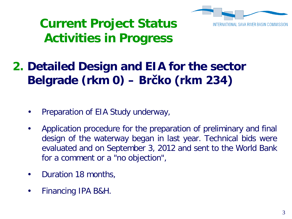

### **Current Project Status Activities in Progress**

#### **2. Detailed Design and EIA for the sector Belgrade (rkm 0) – Brčko (rkm 234)**

- Preparation of EIA Study underway,
- Application procedure for the preparation of preliminary and final design of the waterway began in last year. Technical bids were evaluated and on September 3, 2012 and sent to the World Bank for a comment or a "no objection",
- Duration 18 months,
- Financing IPA B&H.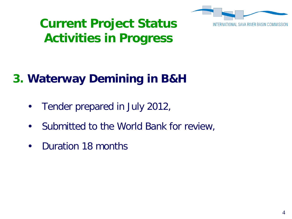

### **Current Project Status Activities in Progress**

#### **3. Waterway Demining in B&H**

- Tender prepared in July 2012,
- Submitted to the World Bank for review,
- Duration 18 months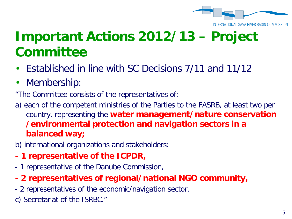

#### SAVA RIVER BASIN COMM

- Established in line with SC Decisions 7/11 and 11/12
- Membership:
- "The Committee consists of the representatives of:
- a) each of the competent ministries of the Parties to the FASRB, at least two per country, representing the **water management/nature conservation /environmental protection and navigation sectors in a balanced way;**
- b) international organizations and stakeholders:
- **- 1 representative of the ICPDR,**
- 1 representative of the Danube Commission,
- **- 2 representatives of regional/national NGO community,**
- 2 representatives of the economic/navigation sector.
- c) Secretariat of the ISRBC."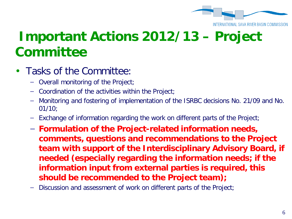

#### INTERNATIONAL SAVA RIVER BASIN COMM

- Tasks of the Committee:
	- − Overall monitoring of the Project;
	- − Coordination of the activities within the Project;
	- − Monitoring and fostering of implementation of the ISRBC decisions No. 21/09 and No. 01/10;
	- Exchange of information regarding the work on different parts of the Project;
	- − **Formulation of the Project-related information needs, comments, questions and recommendations to the Project team with support of the Interdisciplinary Advisory Board, if needed (especially regarding the information needs; if the information input from external parties is required, this should be recommended to the Project team);**
	- Discussion and assessment of work on different parts of the Project;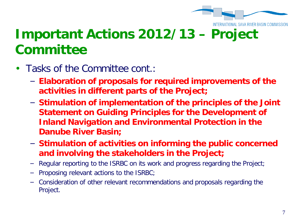

- Tasks of the Committee cont.:
	- − **Elaboration of proposals for required improvements of the activities in different parts of the Project;**
	- − **Stimulation of implementation of the principles of the Joint Statement on Guiding Principles for the Development of Inland Navigation and Environmental Protection in the Danube River Basin;**
	- − **Stimulation of activities on informing the public concerned and involving the stakeholders in the Project;**
	- Regular reporting to the ISRBC on its work and progress regarding the Project;
	- Proposing relevant actions to the ISRBC;
	- − Consideration of other relevant recommendations and proposals regarding the Project.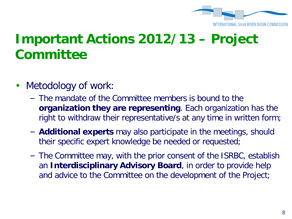

- Metodology of work:
	- − The mandate of the Committee members is bound to the **organization they are representing**. Each organization has the right to withdraw their representative/s at any time in written form;
	- − **Additional experts** may also participate in the meetings, should their specific expert knowledge be needed or requested;
	- − The Committee may, with the prior consent of the ISRBC, establish an **Interdisciplinary Advisory Board**, in order to provide help and advice to the Committee on the development of the Project;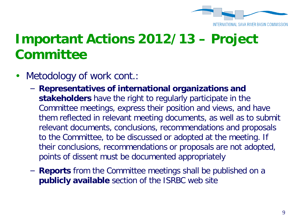

- Metodology of work cont.:
	- − **Representatives of international organizations and stakeholders** have the right to regularly participate in the Committee meetings, express their position and views, and have them reflected in relevant meeting documents, as well as to submit relevant documents, conclusions, recommendations and proposals to the Committee, to be discussed or adopted at the meeting. If their conclusions, recommendations or proposals are not adopted, points of dissent must be documented appropriately
	- − **Reports** from the Committee meetings shall be published on a **publicly available** section of the ISRBC web site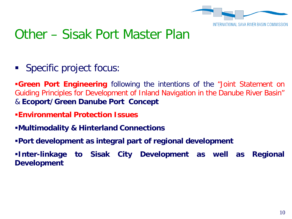

#### Other – Sisak Port Master Plan

**Specific project focus:** 

**Green Port Engineering** following the intentions of the "Joint Statement on Guiding Principles for Development of Inland Navigation in the Danube River Basin" & **Ecoport/Green Danube Port Concept**

- **Environmental Protection Issues**
- **Multimodality & Hinterland Connections**
- **Port development as integral part of regional development**
- **Inter-linkage to Sisak City Development as well as Regional Development**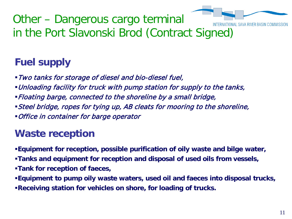

Other – Dangerous cargo terminal in the Port Slavonski Brod (Contract Signed)

#### **Fuel supply**

- Two tanks for storage of diesel and bio-diesel fuel,
- Unloading facility for truck with pump station for supply to the tanks,
- Floating barge, connected to the shoreline by a small bridge,
- Steel bridge, ropes for tying up, AB cleats for mooring to the shoreline,
- Office in container for barge operator

#### **Waste reception**

- **Equipment for reception, possible purification of oily waste and bilge water,**
- **Tanks and equipment for reception and disposal of used oils from vessels,**
- **Tank for reception of faeces,**
- **Equipment to pump oily waste waters, used oil and faeces into disposal trucks, Receiving station for vehicles on shore, for loading of trucks.**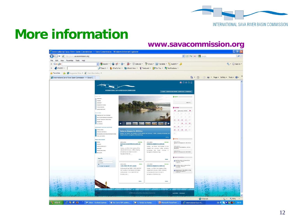

# **More information**

#### **www.savacommission.org**